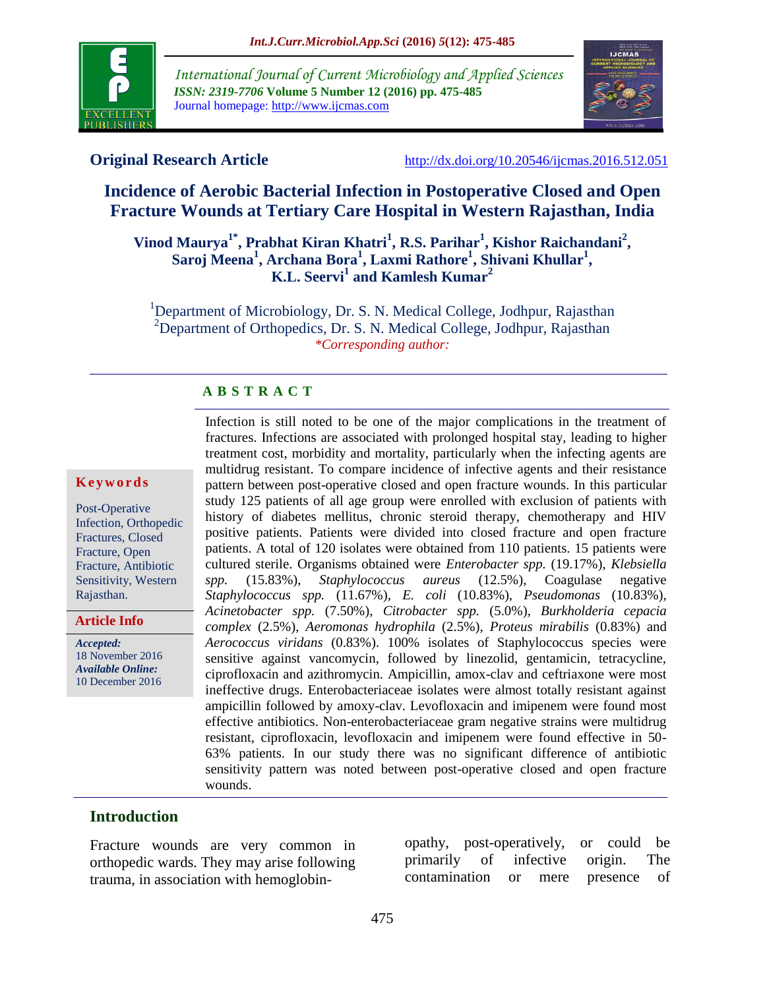

*International Journal of Current Microbiology and Applied Sciences ISSN: 2319-7706* **Volume 5 Number 12 (2016) pp. 475-485** Journal homepage: http://www.ijcmas.com



**Original Research Article** <http://dx.doi.org/10.20546/ijcmas.2016.512.051>

# **Incidence of Aerobic Bacterial Infection in Postoperative Closed and Open Fracture Wounds at Tertiary Care Hospital in Western Rajasthan, India**

**Vinod Maurya1\* , Prabhat Kiran Khatri<sup>1</sup> , R.S. Parihar<sup>1</sup> , Kishor Raichandani<sup>2</sup> , Saroj Meena<sup>1</sup> , Archana Bora<sup>1</sup> , Laxmi Rathore<sup>1</sup> , Shivani Khullar<sup>1</sup> , K.L. Seervi<sup>1</sup> and Kamlesh Kumar<sup>2</sup>**

<sup>1</sup>Department of Microbiology, Dr. S. N. Medical College, Jodhpur, Rajasthan <sup>2</sup>Department of Orthopedics, Dr. S. N. Medical College, Jodhpur, Rajasthan *\*Corresponding author:*

## **A B S T R A C T**

#### **K e y w o r d s**

Post-Operative Infection, Orthopedic Fractures, Closed Fracture, Open Fracture, Antibiotic Sensitivity, Western Rajasthan.

**Article Info**

*Accepted:*  18 November 2016 *Available Online:* 10 December 2016

Infection is still noted to be one of the major complications in the treatment of fractures. Infections are associated with prolonged hospital stay, leading to higher treatment cost, morbidity and mortality, particularly when the infecting agents are multidrug resistant. To compare incidence of infective agents and their resistance pattern between post-operative closed and open fracture wounds. In this particular study 125 patients of all age group were enrolled with exclusion of patients with history of diabetes mellitus, chronic steroid therapy, chemotherapy and HIV positive patients. Patients were divided into closed fracture and open fracture patients. A total of 120 isolates were obtained from 110 patients. 15 patients were cultured sterile. Organisms obtained were *Enterobacter spp.* (19.17%), *Klebsiella spp.* (15.83%), *Staphylococcus aureus* (12.5%), Coagulase negative *Staphylococcus spp.* (11.67%), *E. coli* (10.83%), *Pseudomonas* (10.83%), *Acinetobacter spp.* (7.50%), *Citrobacter spp.* (5.0%), *Burkholderia cepacia complex* (2.5%), *Aeromonas hydrophila* (2.5%), *Proteus mirabilis* (0.83%) and *Aerococcus viridans* (0.83%). 100% isolates of Staphylococcus species were sensitive against vancomycin, followed by linezolid, gentamicin, tetracycline, ciprofloxacin and azithromycin. Ampicillin, amox-clav and ceftriaxone were most ineffective drugs. Enterobacteriaceae isolates were almost totally resistant against ampicillin followed by amoxy-clav. Levofloxacin and imipenem were found most effective antibiotics. Non-enterobacteriaceae gram negative strains were multidrug resistant, ciprofloxacin, levofloxacin and imipenem were found effective in 50- 63% patients. In our study there was no significant difference of antibiotic sensitivity pattern was noted between post-operative closed and open fracture wounds.

## **Introduction**

Fracture wounds are very common in orthopedic wards. They may arise following trauma, in association with hemoglobinopathy, post-operatively, or could be primarily of infective origin. The contamination or mere presence of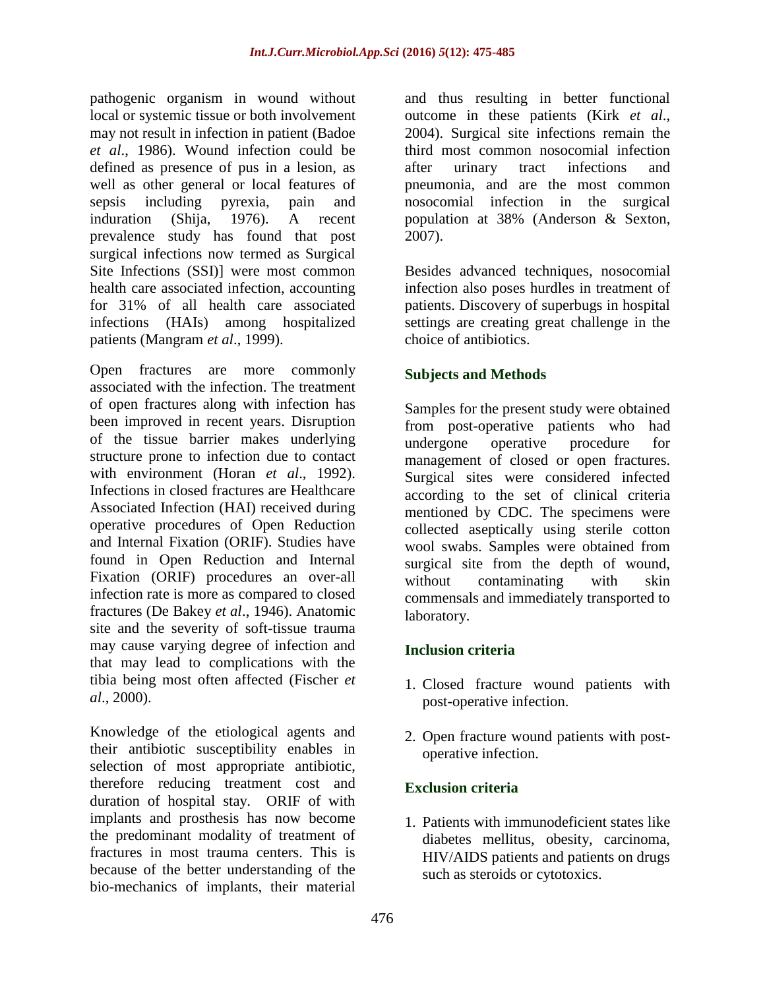pathogenic organism in wound without local or systemic tissue or both involvement may not result in infection in patient (Badoe *et al*., 1986). Wound infection could be defined as presence of pus in a lesion, as well as other general or local features of sepsis including pyrexia, pain and induration (Shija, 1976). A recent prevalence study has found that post surgical infections now termed as Surgical Site Infections (SSI)] were most common health care associated infection, accounting for 31% of all health care associated infections (HAIs) among hospitalized patients (Mangram *et al*., 1999).

Open fractures are more commonly associated with the infection. The treatment of open fractures along with infection has been improved in recent years. Disruption of the tissue barrier makes underlying structure prone to infection due to contact with environment (Horan *et al*., 1992). Infections in closed fractures are Healthcare Associated Infection (HAI) received during operative procedures of Open Reduction and Internal Fixation (ORIF). Studies have found in Open Reduction and Internal Fixation (ORIF) procedures an over-all infection rate is more as compared to closed fractures (De Bakey *et al*., 1946). Anatomic site and the severity of soft-tissue trauma may cause varying degree of infection and that may lead to complications with the tibia being most often affected (Fischer *et al*., 2000).

Knowledge of the etiological agents and their antibiotic susceptibility enables in selection of most appropriate antibiotic, therefore reducing treatment cost and duration of hospital stay. ORIF of with implants and prosthesis has now become the predominant modality of treatment of fractures in most trauma centers. This is because of the better understanding of the bio-mechanics of implants, their material

and thus resulting in better functional outcome in these patients (Kirk *et al*., 2004). Surgical site infections remain the third most common nosocomial infection after urinary tract infections and pneumonia, and are the most common nosocomial infection in the surgical population at 38% (Anderson & Sexton, 2007).

Besides advanced techniques, nosocomial infection also poses hurdles in treatment of patients. Discovery of superbugs in hospital settings are creating great challenge in the choice of antibiotics.

## **Subjects and Methods**

Samples for the present study were obtained from post-operative patients who had undergone operative procedure for management of closed or open fractures. Surgical sites were considered infected according to the set of clinical criteria mentioned by CDC. The specimens were collected aseptically using sterile cotton wool swabs. Samples were obtained from surgical site from the depth of wound, without contaminating with skin commensals and immediately transported to laboratory.

## **Inclusion criteria**

- 1. Closed fracture wound patients with post-operative infection.
- 2. Open fracture wound patients with postoperative infection.

## **Exclusion criteria**

1. Patients with immunodeficient states like diabetes mellitus, obesity, carcinoma, HIV/AIDS patients and patients on drugs such as steroids or cytotoxics.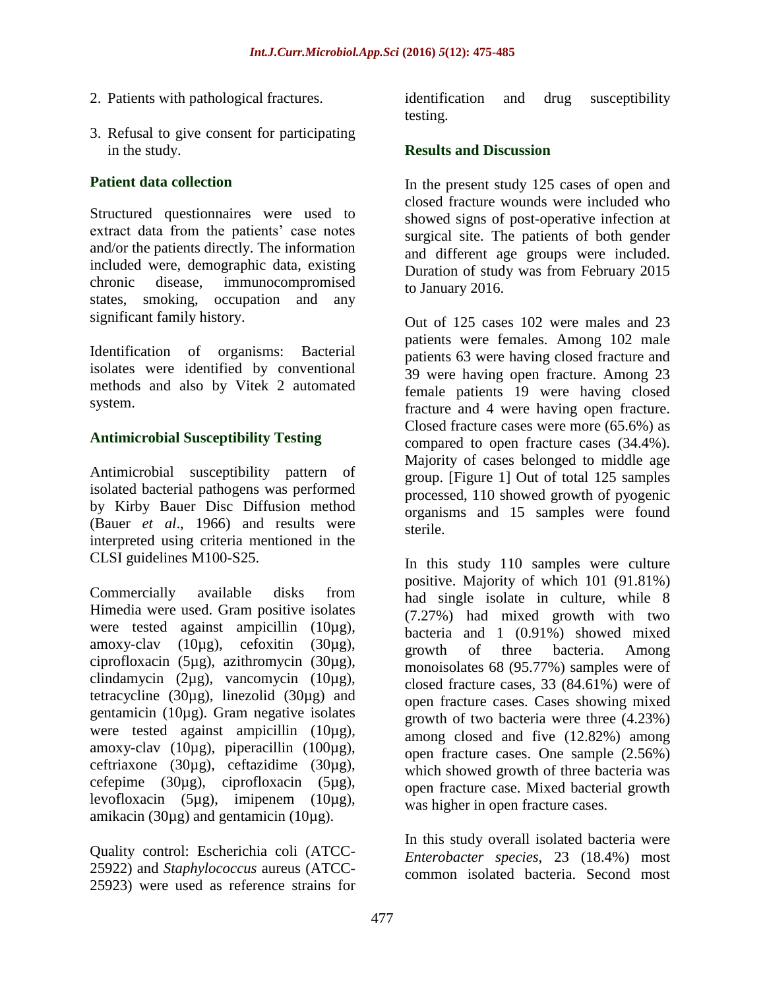- 2. Patients with pathological fractures.
- 3. Refusal to give consent for participating in the study.

## **Patient data collection**

Structured questionnaires were used to extract data from the patients' case notes and/or the patients directly. The information included were, demographic data, existing chronic disease, immunocompromised states, smoking, occupation and any significant family history.

Identification of organisms: Bacterial isolates were identified by conventional methods and also by Vitek 2 automated system.

## **Antimicrobial Susceptibility Testing**

Antimicrobial susceptibility pattern of isolated bacterial pathogens was performed by Kirby Bauer Disc Diffusion method (Bauer *et al*., 1966) and results were interpreted using criteria mentioned in the CLSI guidelines M100-S25.

Commercially available disks from Himedia were used. Gram positive isolates were tested against ampicillin (10µg), amoxy-clav (10µg), cefoxitin (30µg), ciprofloxacin (5µg), azithromycin (30µg), clindamycin (2µg), vancomycin (10µg), tetracycline (30 $\mu$ g), linezolid (30 $\mu$ g) and gentamicin (10µg). Gram negative isolates were tested against ampicillin (10µg), amoxy-clav (10µg), piperacillin (100µg), ceftriaxone (30µg), ceftazidime (30µg), cefepime (30µg), ciprofloxacin (5µg), levofloxacin (5µg), imipenem (10µg), amikacin (30µg) and gentamicin (10µg).

Quality control: Escherichia coli (ATCC-25922) and *Staphylococcus* aureus (ATCC-25923) were used as reference strains for

identification and drug susceptibility testing.

## **Results and Discussion**

In the present study 125 cases of open and closed fracture wounds were included who showed signs of post-operative infection at surgical site. The patients of both gender and different age groups were included. Duration of study was from February 2015 to January 2016.

Out of 125 cases 102 were males and 23 patients were females. Among 102 male patients 63 were having closed fracture and 39 were having open fracture. Among 23 female patients 19 were having closed fracture and 4 were having open fracture. Closed fracture cases were more (65.6%) as compared to open fracture cases (34.4%). Majority of cases belonged to middle age group. [Figure 1] Out of total 125 samples processed, 110 showed growth of pyogenic organisms and 15 samples were found sterile.

In this study 110 samples were culture positive. Majority of which 101 (91.81%) had single isolate in culture, while 8 (7.27%) had mixed growth with two bacteria and 1 (0.91%) showed mixed growth of three bacteria. Among monoisolates 68 (95.77%) samples were of closed fracture cases, 33 (84.61%) were of open fracture cases. Cases showing mixed growth of two bacteria were three (4.23%) among closed and five (12.82%) among open fracture cases. One sample (2.56%) which showed growth of three bacteria was open fracture case. Mixed bacterial growth was higher in open fracture cases.

In this study overall isolated bacteria were *Enterobacter species*, 23 (18.4%) most common isolated bacteria. Second most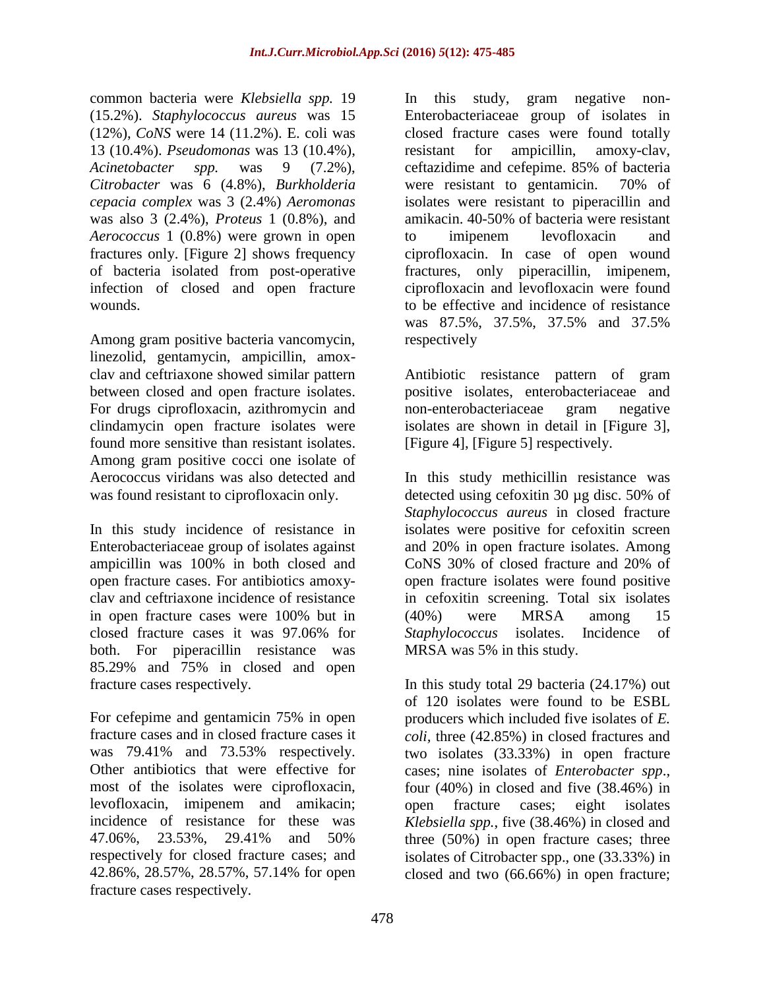common bacteria were *Klebsiella spp.* 19 (15.2%). *Staphylococcus aureus* was 15 (12%), *CoNS* were 14 (11.2%). E. coli was 13 (10.4%). *Pseudomonas* was 13 (10.4%), *Acinetobacter spp.* was 9 (7.2%), *Citrobacter* was 6 (4.8%), *Burkholderia cepacia complex* was 3 (2.4%) *Aeromonas* was also 3 (2.4%), *Proteus* 1 (0.8%), and *Aerococcus* 1 (0.8%) were grown in open fractures only. [Figure 2] shows frequency of bacteria isolated from post-operative infection of closed and open fracture wounds.

Among gram positive bacteria vancomycin, linezolid, gentamycin, ampicillin, amoxclav and ceftriaxone showed similar pattern between closed and open fracture isolates. For drugs ciprofloxacin, azithromycin and clindamycin open fracture isolates were found more sensitive than resistant isolates. Among gram positive cocci one isolate of Aerococcus viridans was also detected and was found resistant to ciprofloxacin only.

In this study incidence of resistance in Enterobacteriaceae group of isolates against ampicillin was 100% in both closed and open fracture cases. For antibiotics amoxyclav and ceftriaxone incidence of resistance in open fracture cases were 100% but in closed fracture cases it was 97.06% for both. For piperacillin resistance was 85.29% and 75% in closed and open fracture cases respectively.

For cefepime and gentamicin 75% in open fracture cases and in closed fracture cases it was 79.41% and 73.53% respectively. Other antibiotics that were effective for most of the isolates were ciprofloxacin, levofloxacin, imipenem and amikacin; incidence of resistance for these was 47.06%, 23.53%, 29.41% and 50% respectively for closed fracture cases; and 42.86%, 28.57%, 28.57%, 57.14% for open fracture cases respectively.

In this study, gram negative non-Enterobacteriaceae group of isolates in closed fracture cases were found totally resistant for ampicillin, amoxy-clav, ceftazidime and cefepime. 85% of bacteria were resistant to gentamicin. 70% of isolates were resistant to piperacillin and amikacin. 40-50% of bacteria were resistant to imipenem levofloxacin and ciprofloxacin. In case of open wound fractures, only piperacillin, imipenem, ciprofloxacin and levofloxacin were found to be effective and incidence of resistance was 87.5%, 37.5%, 37.5% and 37.5% respectively

Antibiotic resistance pattern of gram positive isolates, enterobacteriaceae and non-enterobacteriaceae gram negative isolates are shown in detail in [Figure 3], [Figure 4], [Figure 5] respectively.

In this study methicillin resistance was detected using cefoxitin 30 µg disc. 50% of *Staphylococcus aureus* in closed fracture isolates were positive for cefoxitin screen and 20% in open fracture isolates. Among CoNS 30% of closed fracture and 20% of open fracture isolates were found positive in cefoxitin screening. Total six isolates (40%) were MRSA among 15 *Staphylococcus* isolates. Incidence of MRSA was 5% in this study.

In this study total 29 bacteria (24.17%) out of 120 isolates were found to be ESBL producers which included five isolates of *E. coli,* three (42.85%) in closed fractures and two isolates (33.33%) in open fracture cases; nine isolates of *Enterobacter spp*., four (40%) in closed and five (38.46%) in open fracture cases; eight isolates *Klebsiella spp.*, five (38.46%) in closed and three (50%) in open fracture cases; three isolates of Citrobacter spp., one (33.33%) in closed and two (66.66%) in open fracture;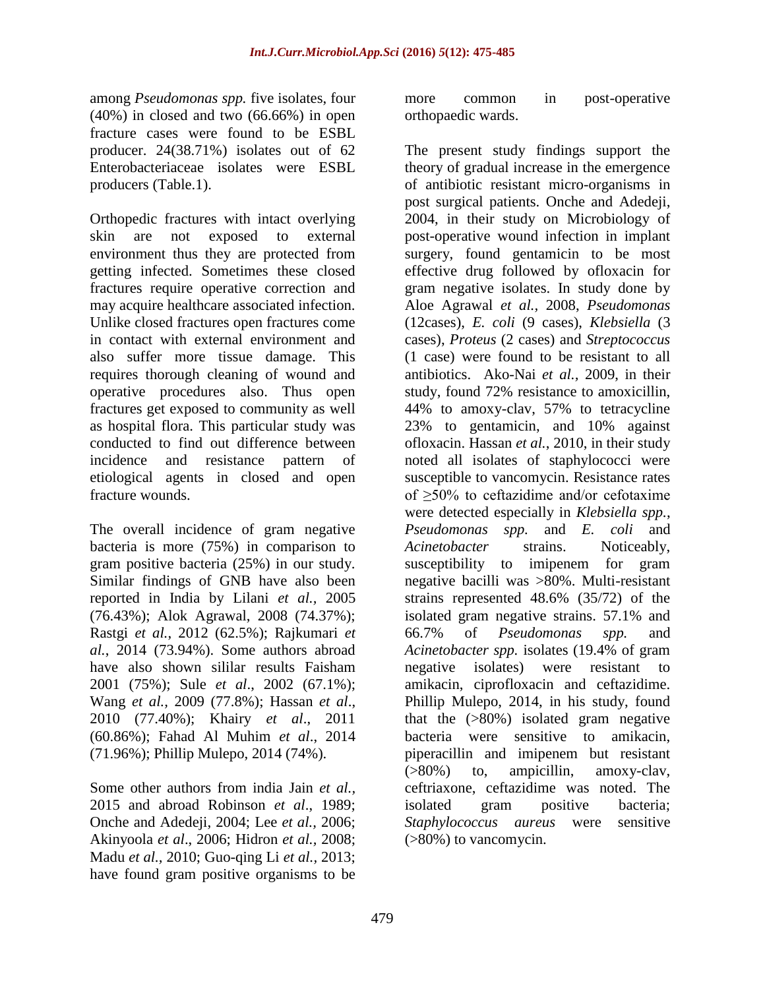among *Pseudomonas spp.* five isolates, four (40%) in closed and two (66.66%) in open fracture cases were found to be ESBL producer. 24(38.71%) isolates out of 62 Enterobacteriaceae isolates were ESBL producers (Table.1).

Orthopedic fractures with intact overlying skin are not exposed to external environment thus they are protected from getting infected. Sometimes these closed fractures require operative correction and may acquire healthcare associated infection. Unlike closed fractures open fractures come in contact with external environment and also suffer more tissue damage. This requires thorough cleaning of wound and operative procedures also. Thus open fractures get exposed to community as well as hospital flora. This particular study was conducted to find out difference between incidence and resistance pattern of etiological agents in closed and open fracture wounds.

The overall incidence of gram negative bacteria is more (75%) in comparison to gram positive bacteria (25%) in our study. Similar findings of GNB have also been reported in India by Lilani *et al.,* 2005 (76.43%); Alok Agrawal, 2008 (74.37%); Rastgi *et al.*, 2012 (62.5%); Rajkumari *et al.*, 2014 (73.94%). Some authors abroad have also shown sililar results Faisham 2001 (75%); Sule *et al*., 2002 (67.1%); Wang *et al.,* 2009 (77.8%); Hassan *et al*., 2010 (77.40%); Khairy *et al*., 2011 (60.86%); Fahad Al Muhim *et al*., 2014 (71.96%); Phillip Mulepo, 2014 (74%).

Some other authors from india Jain *et al.,*  2015 and abroad Robinson *et al*., 1989; Onche and Adedeji, 2004; Lee *et al.,* 2006; Akinyoola *et al*., 2006; Hidron *et al.,* 2008; Madu *et al.,* 2010; Guo-qing Li *et al.,* 2013; have found gram positive organisms to be more common in post-operative orthopaedic wards.

The present study findings support the theory of gradual increase in the emergence of antibiotic resistant micro-organisms in post surgical patients. Onche and Adedeji, 2004, in their study on Microbiology of post-operative wound infection in implant surgery, found gentamicin to be most effective drug followed by ofloxacin for gram negative isolates. In study done by Aloe Agrawal *et al.,* 2008, *Pseudomonas*  (12cases), *E. coli* (9 cases), *Klebsiella* (3 cases), *Proteus* (2 cases) and *Streptococcus*  (1 case) were found to be resistant to all antibiotics. Ako-Nai *et al.,* 2009, in their study, found 72% resistance to amoxicillin, 44% to amoxy-clav, 57% to tetracycline 23% to gentamicin, and 10% against ofloxacin. Hassan *et al.*, 2010, in their study noted all isolates of staphylococci were susceptible to vancomycin. Resistance rates of ≥50% to ceftazidime and/or cefotaxime were detected especially in *Klebsiella spp.*, *Pseudomonas spp.* and *E. coli* and *Acinetobacter* strains. Noticeably, susceptibility to imipenem for gram negative bacilli was >80%. Multi-resistant strains represented 48.6% (35/72) of the isolated gram negative strains. 57.1% and 66.7% of *Pseudomonas spp.* and *Acinetobacter spp.* isolates (19.4% of gram negative isolates) were resistant to amikacin, ciprofloxacin and ceftazidime. Phillip Mulepo, 2014, in his study, found that the (>80%) isolated gram negative bacteria were sensitive to amikacin, piperacillin and imipenem but resistant (>80%) to, ampicillin, amoxy-clav, ceftriaxone, ceftazidime was noted. The isolated gram positive bacteria; *Staphylococcus aureus* were sensitive (>80%) to vancomycin.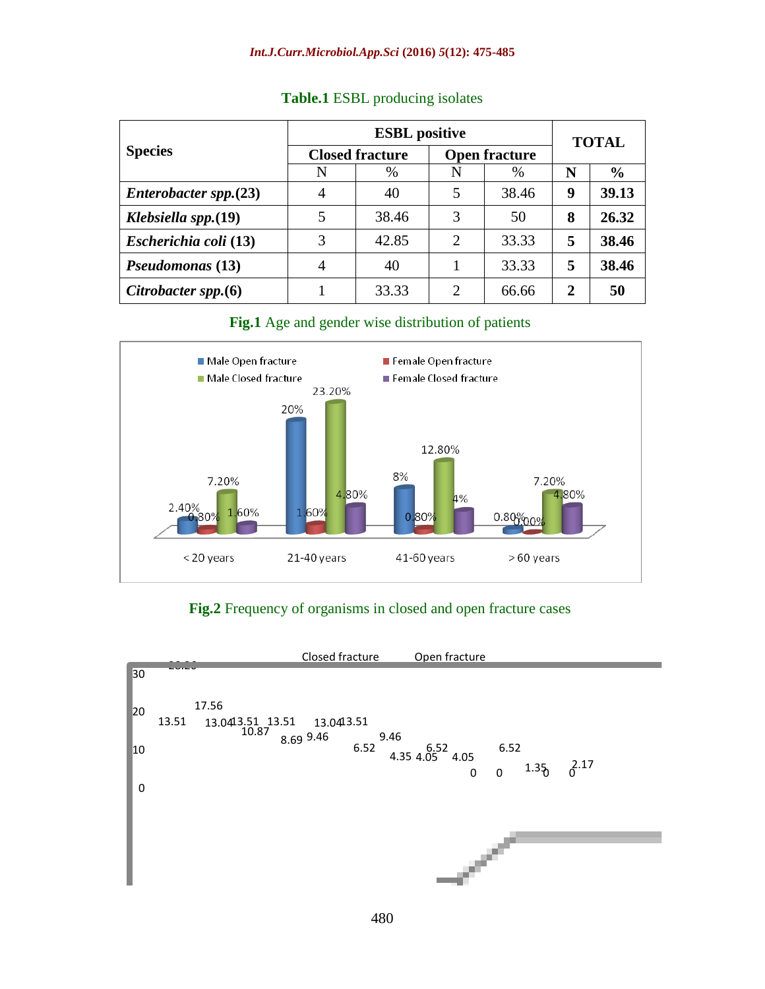| <b>Species</b>         | <b>ESBL</b> positive   |       |                             |       | <b>TOTAL</b> |               |
|------------------------|------------------------|-------|-----------------------------|-------|--------------|---------------|
|                        | <b>Closed fracture</b> |       | <b>Open fracture</b>        |       |              |               |
|                        | N                      | $\%$  | N                           | $\%$  | N            | $\frac{6}{9}$ |
| Enterobacter spp. (23) | 4                      | 40    | 5                           | 38.46 | 9            | 39.13         |
| Klebsiella spp.(19)    | 5                      | 38.46 | 3                           | 50    | 8            | 26.32         |
| Escherichia coli (13)  | 3                      | 42.85 | 2                           | 33.33 | 5            | 38.46         |
| Pseudomonas (13)       | 4                      | 40    |                             | 33.33 | 5            | 38.46         |
| Citrobacter spp. $(6)$ |                        | 33.33 | $\mathcal{D}_{\mathcal{L}}$ | 66.66 | 2            | 50            |

#### **Table.1** ESBL producing isolates

#### **Fig.1** Age and gender wise distribution of patients



## **Fig.2** Frequency of organisms in closed and open fracture cases

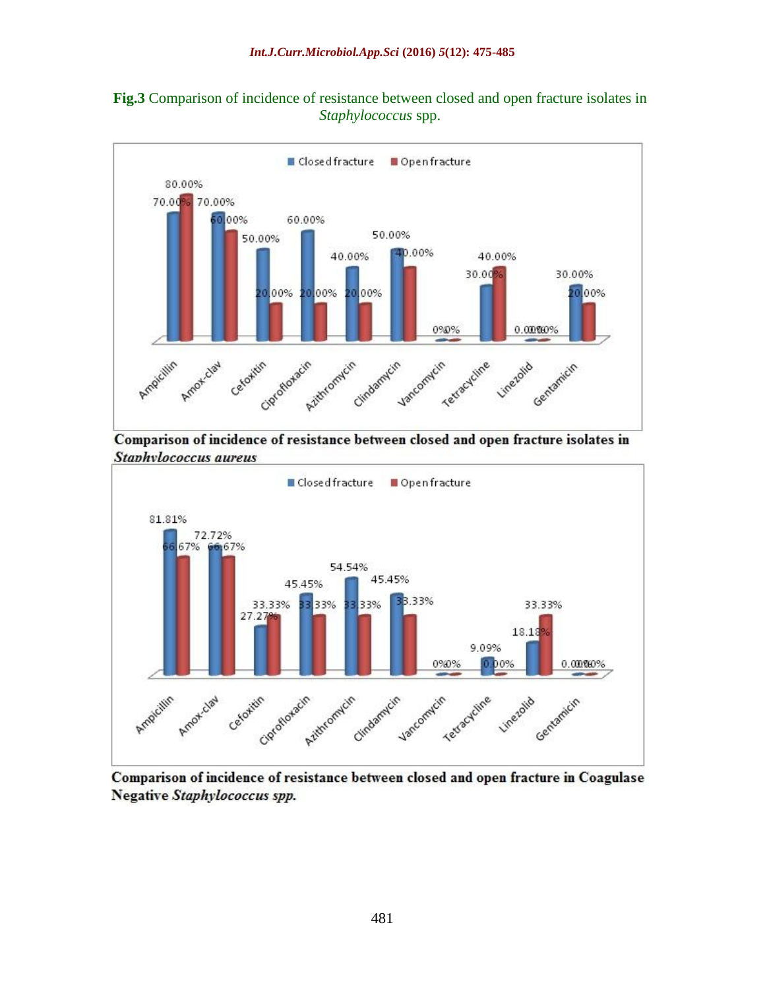



Comparison of incidence of resistance between closed and open fracture isolates in Staphylococcus aureus



Comparison of incidence of resistance between closed and open fracture in Coagulase Negative Staphylococcus spp.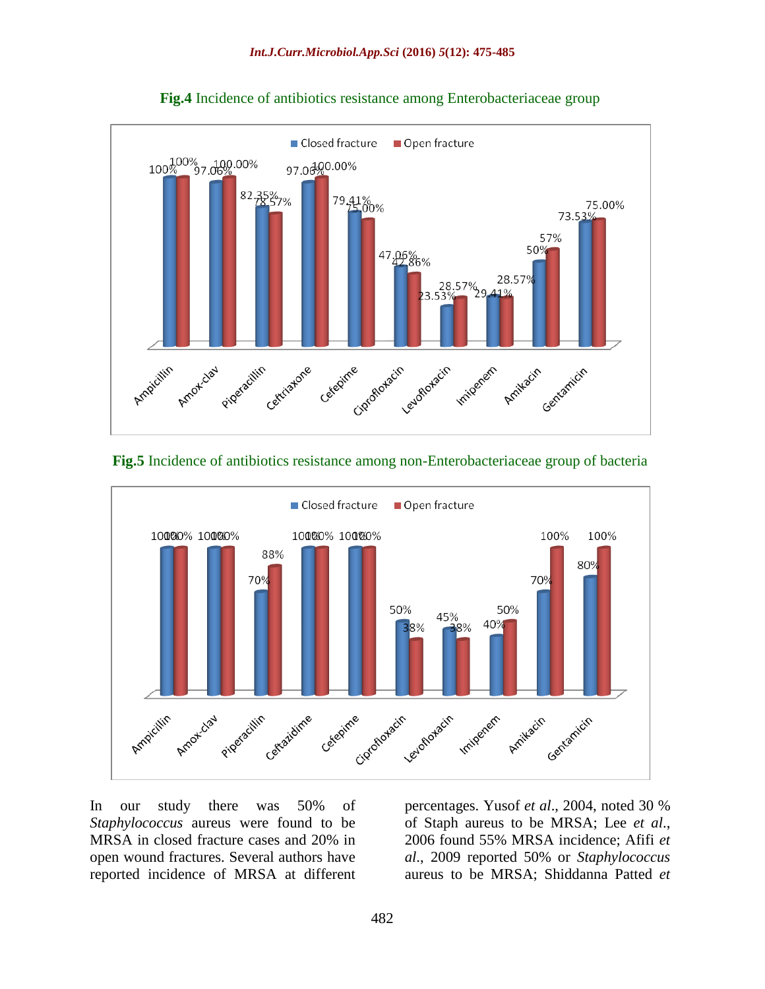

**Fig.4** Incidence of antibiotics resistance among Enterobacteriaceae group

#### **Fig.5** Incidence of antibiotics resistance among non-Enterobacteriaceae group of bacteria



In our study there was 50% of *Staphylococcus* aureus were found to be MRSA in closed fracture cases and 20% in open wound fractures. Several authors have reported incidence of MRSA at different percentages. Yusof *et al*., 2004, noted 30 % of Staph aureus to be MRSA; Lee *et al*., 2006 found 55% MRSA incidence; Afifi *et al*., 2009 reported 50% or *Staphylococcus* aureus to be MRSA; Shiddanna Patted *et*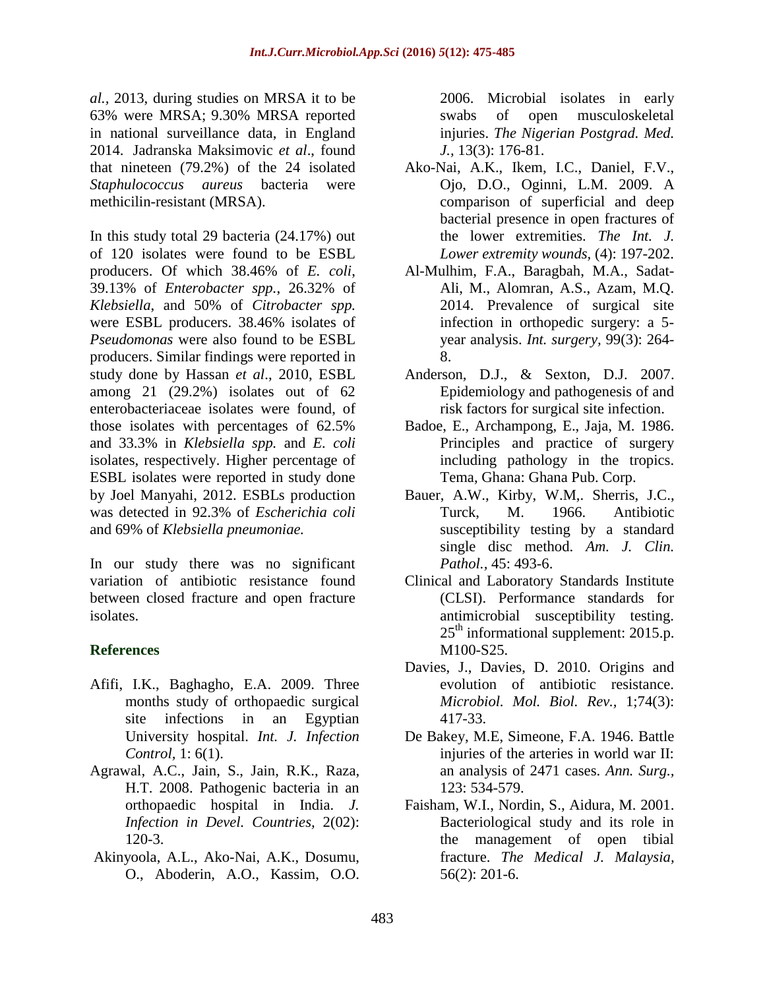*al.,* 2013, during studies on MRSA it to be 63% were MRSA; 9.30% MRSA reported in national surveillance data, in England 2014. Jadranska Maksimovic *et al*., found that nineteen (79.2%) of the 24 isolated *Staphulococcus aureus* bacteria were methicilin-resistant (MRSA).

In this study total 29 bacteria (24.17%) out of 120 isolates were found to be ESBL producers. Of which 38.46% of *E. coli*, 39.13% of *Enterobacter spp.*, 26.32% of *Klebsiella*, and 50% of *Citrobacter spp.*  were ESBL producers. 38.46% isolates of *Pseudomonas* were also found to be ESBL producers. Similar findings were reported in study done by Hassan *et al*., 2010, ESBL among 21 (29.2%) isolates out of 62 enterobacteriaceae isolates were found, of those isolates with percentages of 62.5% and 33.3% in *Klebsiella spp.* and *E. coli*  isolates, respectively. Higher percentage of ESBL isolates were reported in study done by Joel Manyahi, 2012. ESBLs production was detected in 92.3% of *Escherichia coli*  and 69% of *Klebsiella pneumoniae.*

In our study there was no significant variation of antibiotic resistance found between closed fracture and open fracture isolates.

## **References**

- Afifi, I.K., Baghagho, E.A. 2009. Three months study of orthopaedic surgical site infections in an Egyptian University hospital. *Int. J. Infection Control,* 1: 6(1).
- Agrawal, A.C., Jain, S., Jain, R.K., Raza, H.T. 2008. Pathogenic bacteria in an orthopaedic hospital in India. *J. Infection in Devel. Countries,* 2(02): 120-3.
- Akinyoola, A.L., Ako-Nai, A.K., Dosumu, O., Aboderin, A.O., Kassim, O.O.

2006. Microbial isolates in early swabs of open musculoskeletal injuries. *The Nigerian Postgrad. Med. J.,* 13(3): 176-81.

- Ako-Nai, A.K., Ikem, I.C., Daniel, F.V., Ojo, D.O., Oginni, L.M. 2009. A comparison of superficial and deep bacterial presence in open fractures of the lower extremities. *The Int. J. Lower extremity wounds,* (4): 197-202.
- Al-Mulhim, F.A., Baragbah, M.A., Sadat-Ali, M., Alomran, A.S., Azam, M.Q. 2014. Prevalence of surgical site infection in orthopedic surgery: a 5 year analysis. *Int. surgery,* 99(3): 264- 8.
- Anderson, D.J., & Sexton, D.J. 2007. Epidemiology and pathogenesis of and risk factors for surgical site infection.
- Badoe, E., Archampong, E., Jaja, M. 1986. Principles and practice of surgery including pathology in the tropics. Tema, Ghana: Ghana Pub. Corp.
- Bauer, A.W., Kirby, W.M,. Sherris, J.C., Turck, M. 1966. Antibiotic susceptibility testing by a standard single disc method. *Am. J. Clin. Pathol.,* 45: 493-6.
- Clinical and Laboratory Standards Institute (CLSI). Performance standards for antimicrobial susceptibility testing.  $25<sup>th</sup>$  informational supplement: 2015.p. M100-S25.
- Davies, J., Davies, D. 2010. Origins and evolution of antibiotic resistance. *Microbiol. Mol. Biol. Rev.,* 1;74(3): 417-33.
- De Bakey, M.E, Simeone, F.A. 1946. Battle injuries of the arteries in world war II: an analysis of 2471 cases. *Ann. Surg.,* 123: 534-579.
- Faisham, W.I., Nordin, S., Aidura, M. 2001. Bacteriological study and its role in the management of open tibial fracture. *The Medical J. Malaysia,* 56(2): 201-6.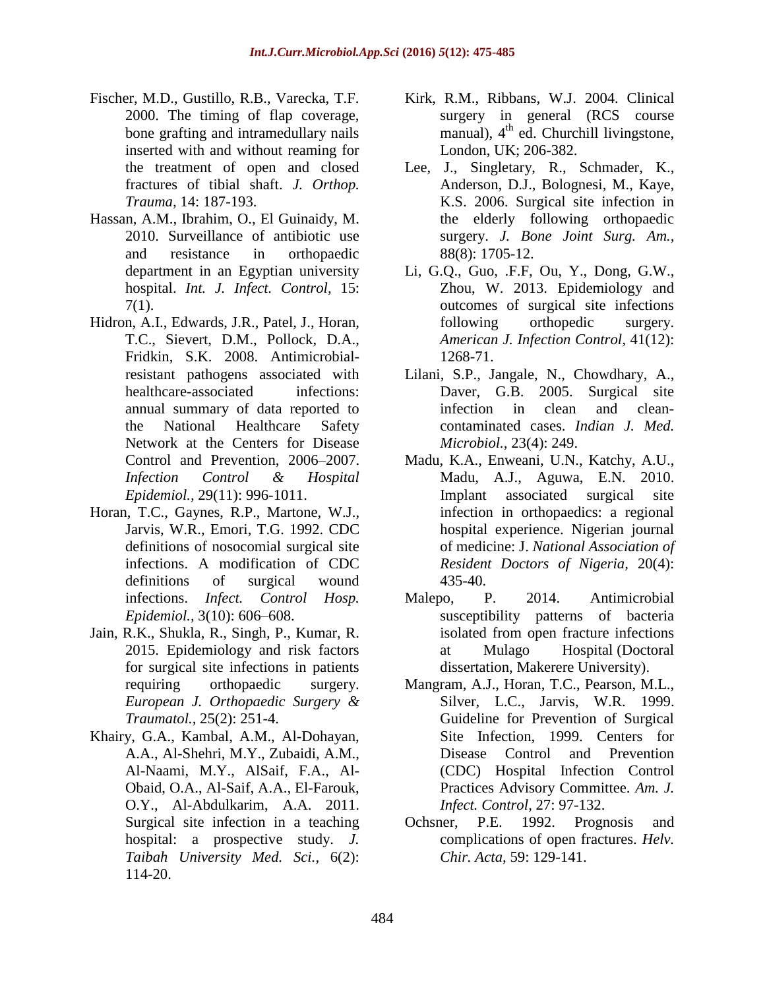- Fischer, M.D., Gustillo, R.B., Varecka, T.F. 2000. The timing of flap coverage, bone grafting and intramedullary nails inserted with and without reaming for the treatment of open and closed fractures of tibial shaft. *J. Orthop. Trauma,* 14: 187-193.
- Hassan, A.M., Ibrahim, O., El Guinaidy, M. 2010. Surveillance of antibiotic use and resistance in orthopaedic department in an Egyptian university hospital. *Int. J. Infect. Control,* 15: 7(1).
- Hidron, A.I., Edwards, J.R., Patel, J., Horan, T.C., Sievert, D.M., Pollock, D.A., Fridkin, S.K. 2008. Antimicrobialresistant pathogens associated with healthcare-associated infections: annual summary of data reported to the National Healthcare Safety Network at the Centers for Disease Control and Prevention, 2006–2007. *Infection Control & Hospital Epidemiol.,* 29(11): 996-1011.
- Horan, T.C., Gaynes, R.P., Martone, W.J., Jarvis, W.R., Emori, T.G. 1992. CDC definitions of nosocomial surgical site infections. A modification of CDC definitions of surgical wound infections. *Infect. Control Hosp. Epidemiol.,* 3(10): 606–608.
- Jain, R.K., Shukla, R., Singh, P., Kumar, R. 2015. Epidemiology and risk factors for surgical site infections in patients requiring orthopaedic surgery. *European J. Orthopaedic Surgery & Traumatol.,* 25(2): 251-4.
- Khairy, G.A., Kambal, A.M., Al-Dohayan, A.A., Al-Shehri, M.Y., Zubaidi, A.M., Al-Naami, M.Y., AlSaif, F.A., Al-Obaid, O.A., Al-Saif, A.A., El-Farouk, O.Y., Al-Abdulkarim, A.A. 2011. Surgical site infection in a teaching hospital: a prospective study. *J. Taibah University Med. Sci.,* 6(2): 114-20.
- Kirk, R.M., Ribbans, W.J. 2004. Clinical surgery in general (RCS course manual), 4<sup>th</sup> ed. Churchill livingstone, London, UK; 206-382.
- Lee, J., Singletary, R., Schmader, K., Anderson, D.J., Bolognesi, M., Kaye, K.S. 2006. Surgical site infection in the elderly following orthopaedic surgery. *J. Bone Joint Surg. Am.,*  88(8): 1705-12.
- Li, G.Q., Guo, .F.F, Ou, Y., Dong, G.W., Zhou, W. 2013. Epidemiology and outcomes of surgical site infections following orthopedic surgery. *American J. Infection Control,* 41(12): 1268-71.
- Lilani, S.P., Jangale, N., Chowdhary, A., Daver, G.B. 2005. Surgical site infection in clean and cleancontaminated cases. *Indian J. Med. Microbiol.,* 23(4): 249.
- Madu, K.A., Enweani, U.N., Katchy, A.U., Madu, A.J., Aguwa, E.N. 2010. Implant associated surgical site infection in orthopaedics: a regional hospital experience. Nigerian journal of medicine: J. *National Association of Resident Doctors of Nigeria,* 20(4): 435-40.
- Malepo, P. 2014. Antimicrobial susceptibility patterns of bacteria isolated from open fracture infections at Mulago Hospital (Doctoral dissertation, Makerere University).
- Mangram, A.J., Horan, T.C., Pearson, M.L., Silver, L.C., Jarvis, W.R. 1999. Guideline for Prevention of Surgical Site Infection, 1999. Centers for Disease Control and Prevention (CDC) Hospital Infection Control Practices Advisory Committee. *Am. J. Infect. Control,* 27: 97-132.
- Ochsner, P.E. 1992. Prognosis and complications of open fractures. *Helv. Chir. Acta,* 59: 129-141.